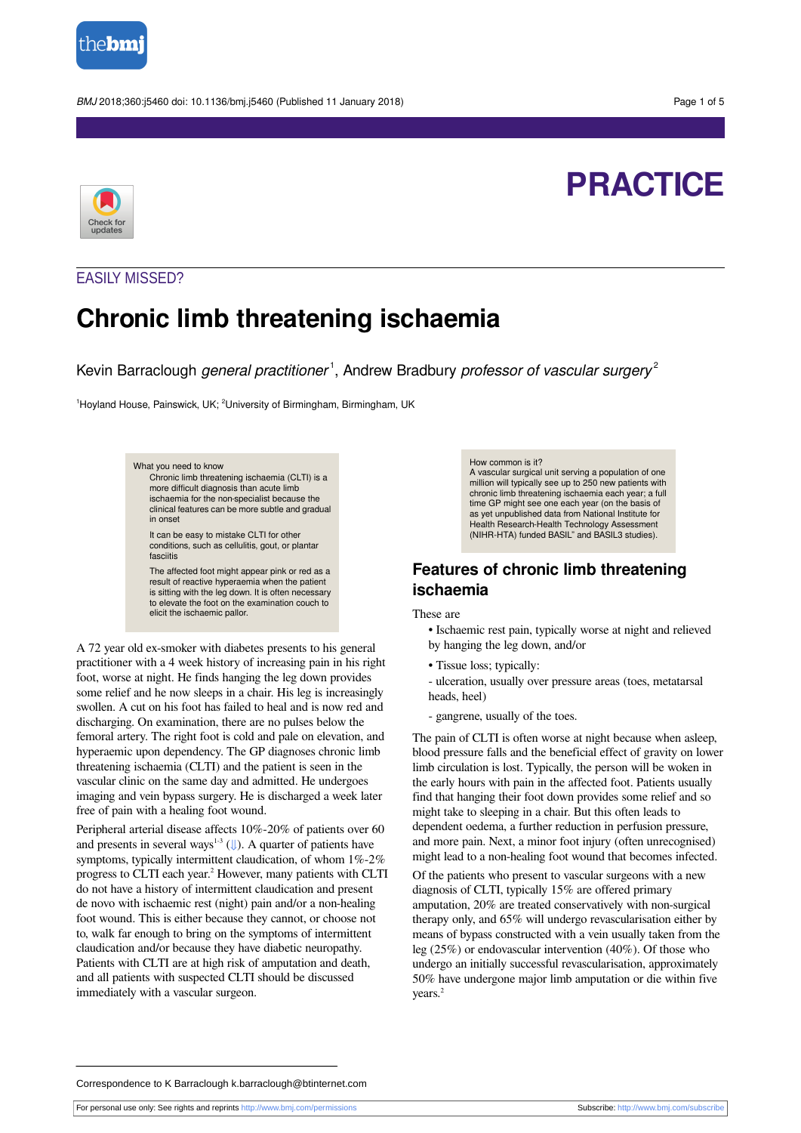

BMJ 2018;360:j5460 doi: 10.1136/bmj.j5460 (Published 11 January 2018) Page 1 of 5



# **PRACTICE**

### EASILY MISSED?

# **Chronic limb threatening ischaemia**

Kevin Barraclough *general practitioner*<sup>1</sup>, Andrew Bradbury *professor of vascular surgery*<sup>2</sup>

<sup>1</sup>Hoyland House, Painswick, UK; <sup>2</sup>University of Birmingham, Birmingham, UK

#### What you need to know

Chronic limb threatening ischaemia (CLTI) is a more difficult diagnosis than acute limb ischaemia for the non-specialist because the clinical features can be more subtle and gradual in onset

It can be easy to mistake CLTI for other conditions, such as cellulitis, gout, or plantar fasciitis

The affected foot might appear pink or red as a result of reactive hyperaemia when the patient is sitting with the leg down. It is often necessary to elevate the foot on the examination couch to elicit the ischaemic pallor.

A 72 year old ex-smoker with diabetes presents to his general practitioner with a 4 week history of increasing pain in his right foot, worse at night. He finds hanging the leg down provides some relief and he now sleeps in a chair. His leg is increasingly swollen. A cut on his foot has failed to heal and is now red and discharging. On examination, there are no pulses below the femoral artery. The right foot is cold and pale on elevation, and hyperaemic upon dependency. The GP diagnoses chronic limb threatening ischaemia (CLTI) and the patient is seen in the vascular clinic on the same day and admitted. He undergoes imaging and vein bypass surgery. He is discharged a week later free of pain with a healing foot wound.

Peripheral arterial disease affects 10%-20% of patients over 60 and presents in several ways<sup>1-3</sup> ( $\downarrow$ ). A quarter of patients have symptoms, typically intermittent claudication, of whom 1%-2% progress to CLTI each year. 2 However, many patients with CLTI do not have a history of intermittent claudication and present de novo with ischaemic rest (night) pain and/or a non-healing foot wound. This is either because they cannot, or choose not to, walk far enough to bring on the symptoms of intermittent claudication and/or because they have diabetic neuropathy. Patients with CLTI are at high risk of amputation and death, and all patients with suspected CLTI should be discussed immediately with a vascular surgeon.

#### How common is it?

A vascular surgical unit serving a population of one million will typically see up to 250 new patients with chronic limb threatening ischaemia each year; a full time GP might see one each year (on the basis of as yet unpublished data from National Institute for Health Research-Health Technology Assessment (NIHR-HTA) funded BASIL" and BASIL3 studies).

#### **Features of chronic limb threatening ischaemia**

These are

- Ischaemic rest pain, typically worse at night and relieved by hanging the leg down, and/or
- Tissue loss; typically:
- ulceration, usually over pressure areas (toes, metatarsal heads, heel)
- gangrene, usually of the toes.

The pain of CLTI is often worse at night because when asleep, blood pressure falls and the beneficial effect of gravity on lower limb circulation is lost. Typically, the person will be woken in the early hours with pain in the affected foot. Patients usually find that hanging their foot down provides some relief and so might take to sleeping in a chair. But this often leads to dependent oedema, a further reduction in perfusion pressure, and more pain. Next, a minor foot injury (often unrecognised) might lead to a non-healing foot wound that becomes infected.

Of the patients who present to vascular surgeons with a new diagnosis of CLTI, typically 15% are offered primary amputation, 20% are treated conservatively with non-surgical therapy only, and 65% will undergo revascularisation either by means of bypass constructed with a vein usually taken from the leg (25%) or endovascular intervention (40%). Of those who undergo an initially successful revascularisation, approximately 50% have undergone major limb amputation or die within five years. 2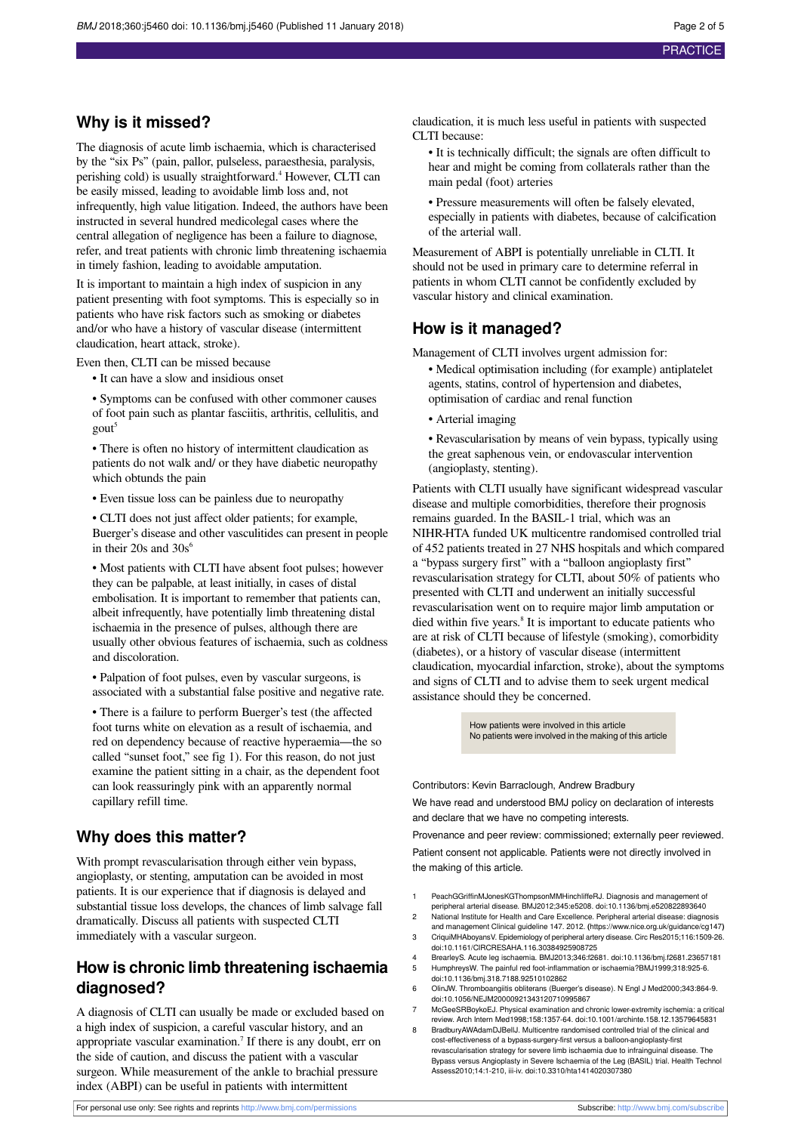#### **Why is it missed?**

The diagnosis of acute limb ischaemia, which is characterised by the "six Ps" (pain, pallor, pulseless, paraesthesia, paralysis, perishing cold) is usually straightforward.<sup>4</sup> However, CLTI can be easily missed, leading to avoidable limb loss and, not infrequently, high value litigation. Indeed, the authors have been instructed in several hundred medicolegal cases where the central allegation of negligence has been a failure to diagnose, refer, and treat patients with chronic limb threatening ischaemia in timely fashion, leading to avoidable amputation.

It is important to maintain a high index of suspicion in any patient presenting with foot symptoms. This is especially so in patients who have risk factors such as smoking or diabetes and/or who have a history of vascular disease (intermittent claudication, heart attack, stroke).

Even then, CLTI can be missed because

- It can have a slow and insidious onset
- Symptoms can be confused with other commoner causes of foot pain such as plantar fasciitis, arthritis, cellulitis, and gout 5
- There is often no history of intermittent claudication as patients do not walk and/ or they have diabetic neuropathy which obtunds the pain
- Even tissue loss can be painless due to neuropathy

• CLTI does not just affect older patients; for example, Buerger's disease and other vasculitides can present in people in their 20s and  $30s^6$ 

• Most patients with CLTI have absent foot pulses; however they can be palpable, at least initially, in cases of distal embolisation. It is important to remember that patients can, albeit infrequently, have potentially limb threatening distal ischaemia in the presence of pulses, although there are usually other obvious features of ischaemia, such as coldness and discoloration.

• Palpation of foot pulses, even by vascular surgeons, is associated with a substantial false positive and negative rate.

• There is a failure to perform Buerger's test (the affected foot turns white on elevation as a result of ischaemia, and red on dependency because of reactive hyperaemia—the so called "sunset foot," see fig 1). For this reason, do not just examine the patient sitting in a chair, as the dependent foot can look reassuringly pink with an apparently normal capillary refill time.

#### **Why does this matter?**

With prompt revascularisation through either vein bypass, angioplasty, or stenting, amputation can be avoided in most patients. It is our experience that if diagnosis is delayed and substantial tissue loss develops, the chances of limb salvage fall dramatically. Discuss all patients with suspected CLTI immediately with a vascular surgeon.

### **How is chronic limb threatening ischaemia diagnosed?**

A diagnosis of CLTI can usually be made or excluded based on a high index of suspicion, a careful vascular history, and an appropriate vascular examination. 7 If there is any doubt, err on the side of caution, and discuss the patient with a vascular surgeon. While measurement of the ankle to brachial pressure index (ABPI) can be useful in patients with intermittent

For personal use only: See rights and reprints<http://www.bmj.com/permissions> Subscribe: <http://www.bmj.com/subscribe>

claudication, it is much less useful in patients with suspected CLTI because:

- It is technically difficult; the signals are often difficult to hear and might be coming from collaterals rather than the main pedal (foot) arteries
- Pressure measurements will often be falsely elevated, especially in patients with diabetes, because of calcification of the arterial wall.

Measurement of ABPI is potentially unreliable in CLTI. It should not be used in primary care to determine referral in patients in whom CLTI cannot be confidently excluded by vascular history and clinical examination.

#### **How is it managed?**

Management of CLTI involves urgent admission for:

- Medical optimisation including (for example) antiplatelet agents, statins, control of hypertension and diabetes, optimisation of cardiac and renal function
- Arterial imaging
- Revascularisation by means of vein bypass, typically using the great saphenous vein, or endovascular intervention (angioplasty, stenting).

Patients with CLTI usually have significant widespread vascular disease and multiple comorbidities, therefore their prognosis remains guarded. In the BASIL-1 trial, which was an NIHR-HTA funded UK multicentre randomised controlled trial of 452 patients treated in 27 NHS hospitals and which compared a "bypass surgery first" with a "balloon angioplasty first" revascularisation strategy for CLTI, about 50% of patients who presented with CLTI and underwent an initially successful revascularisation went on to require major limb amputation or died within five years. 8 It is important to educate patients who are at risk of CLTI because of lifestyle (smoking), comorbidity (diabetes), or a history of vascular disease (intermittent claudication, myocardial infarction, stroke), about the symptoms and signs of CLTI and to advise them to seek urgent medical assistance should they be concerned.

> How patients were involved in this article No patients were involved in the making of this article

Contributors: Kevin Barraclough, Andrew Bradbury

We have read and understood BMJ policy on declaration of interests and declare that we have no competing interests.

Provenance and peer review: commissioned; externally peer reviewed.

Patient consent not applicable. Patients were not directly involved in the making of this article.

- 1 PeachGGriffinMJonesKGThompsonMMHinchliffeRJ. Diagnosis and management of peripheral arterial disease. BMJ2012;345:e5208. doi:10.1136/bmj.e520822893640
- 2 National Institute for Health and Care Excellence. Peripheral arterial disease: diagnosis and management Clinical guideline 147. 2012. **(**https://www.nice.org.uk/guidance/cg147**)** 3 CriquiMHAboyansV. Epidemiology of peripheral artery disease. Circ Res2015;116:1509-26.
- doi:10.1161/CIRCRESAHA.116.30384925908725
- 4 BrearleyS. Acute leg ischaemia. BMJ2013;346:f2681. doi:10.1136/bmj.f2681.23657181 5 HumphreysW. The painful red foot-inflammation or ischaemia?BMJ1999;318:925-6. doi:10.1136/bmj.318.7188.92510102862
- 6 OlinJW. Thromboangiitis obliterans (Buerger's disease). N Engl J Med2000;343:864-9. doi:10.1056/NEJM20000921343120710995867
- 7 McGeeSRBoykoEJ. Physical examination and chronic lower-extremity ischemia: a critical review. Arch Intern Med1998;158:1357-64. doi:10.1001/archinte.158.12.13579645831
- 8 BradburyAWAdamDJBellJ. Multicentre randomised controlled trial of the clinical and cost-effectiveness of a bypass-surgery-first versus a balloon-angioplasty-first revascularisation strategy for severe limb ischaemia due to infrainguinal disease. The Bypass versus Angioplasty in Severe Ischaemia of the Leg (BASIL) trial. Health Technol Assess2010;14:1-210, iii-iv. doi:10.3310/hta1414020307380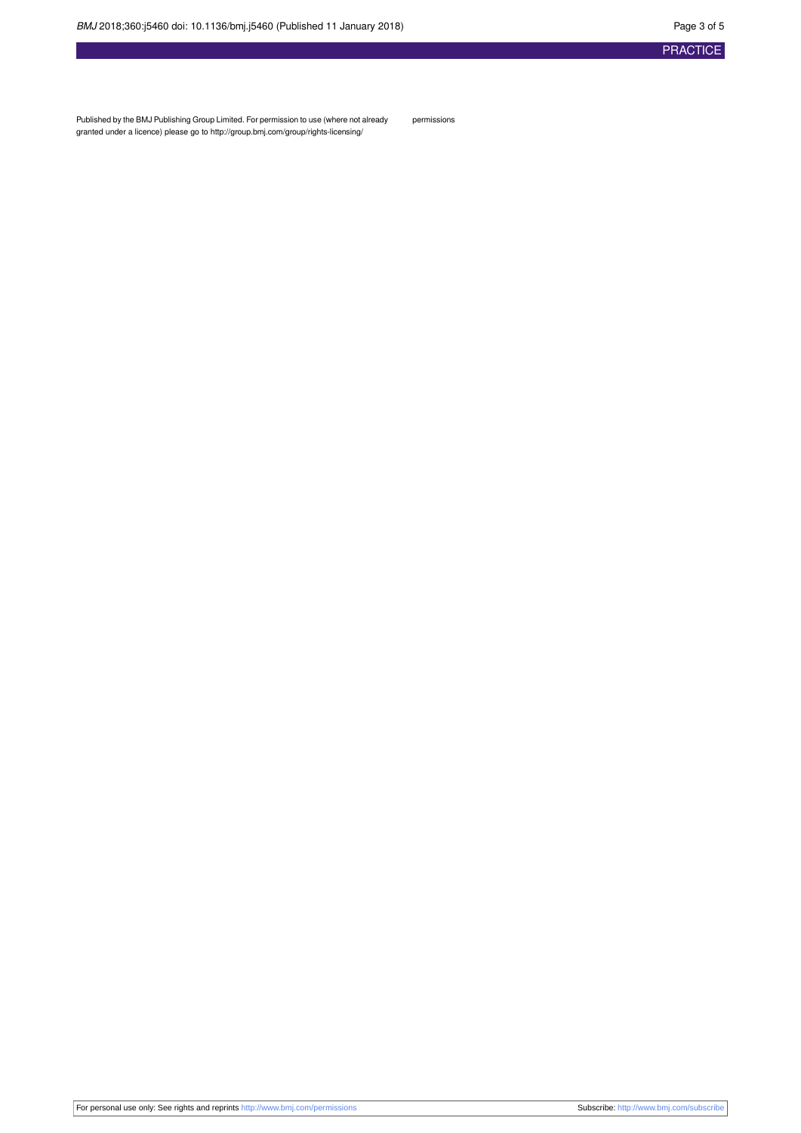Published by the BMJ Publishing Group Limited. For permission to use (where not already granted under a licence) please go to [http://group.bmj.com/group/rights-licensing/](http://group.bmj.com/group/rights-licensing/permissions)

[permissions](http://group.bmj.com/group/rights-licensing/permissions)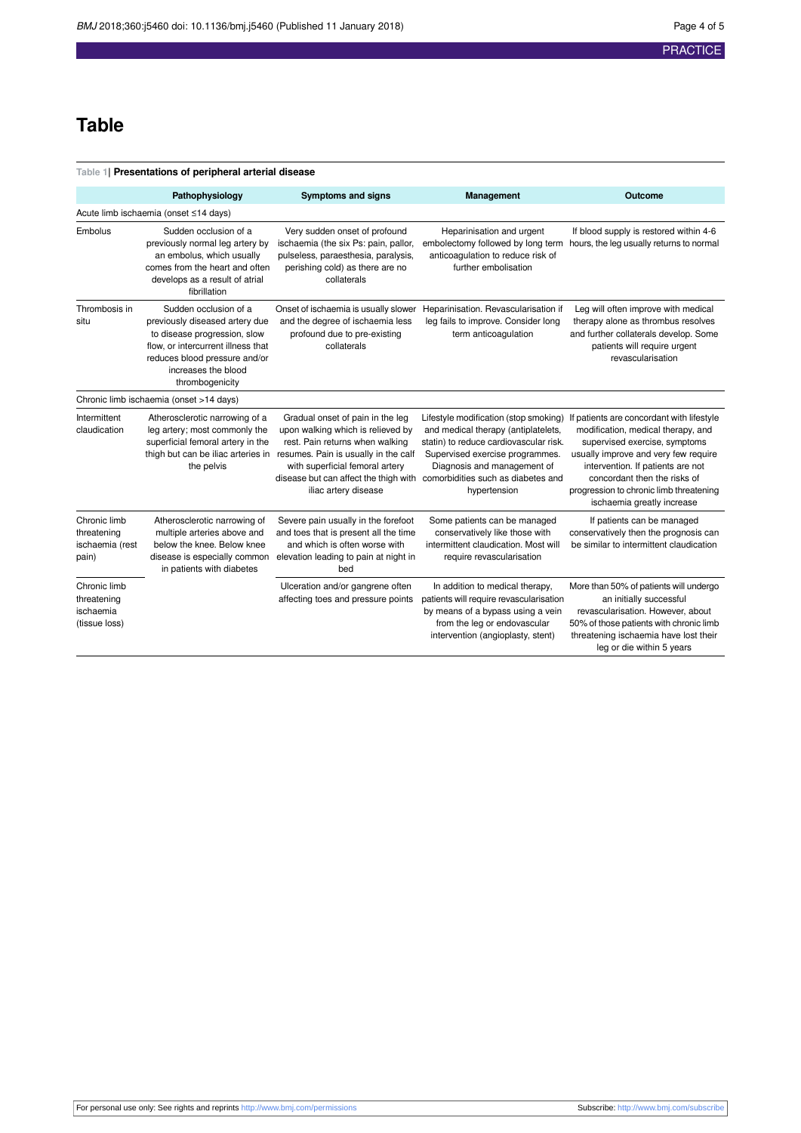### **Table**

<span id="page-3-0"></span>

|  | Table 1  Presentations of peripheral arterial disease |  |
|--|-------------------------------------------------------|--|
|--|-------------------------------------------------------|--|

|                                                           | Pathophysiology                                                                                                                                                                                          | <b>Symptoms and signs</b>                                                                                                                                                                                   | <b>Management</b>                                                                                                                                                                                                                                                                    | <b>Outcome</b>                                                                                                                                                                                                                                                                                         |  |  |
|-----------------------------------------------------------|----------------------------------------------------------------------------------------------------------------------------------------------------------------------------------------------------------|-------------------------------------------------------------------------------------------------------------------------------------------------------------------------------------------------------------|--------------------------------------------------------------------------------------------------------------------------------------------------------------------------------------------------------------------------------------------------------------------------------------|--------------------------------------------------------------------------------------------------------------------------------------------------------------------------------------------------------------------------------------------------------------------------------------------------------|--|--|
| Acute limb ischaemia (onset ≤14 days)                     |                                                                                                                                                                                                          |                                                                                                                                                                                                             |                                                                                                                                                                                                                                                                                      |                                                                                                                                                                                                                                                                                                        |  |  |
| Embolus                                                   | Sudden occlusion of a<br>previously normal leg artery by<br>an embolus, which usually<br>comes from the heart and often<br>develops as a result of atrial<br>fibrillation                                | Very sudden onset of profound<br>ischaemia (the six Ps: pain, pallor,<br>pulseless, paraesthesia, paralysis,<br>perishing cold) as there are no<br>collaterals                                              | Heparinisation and urgent<br>embolectomy followed by long term<br>anticoagulation to reduce risk of<br>further embolisation                                                                                                                                                          | If blood supply is restored within 4-6<br>hours, the leg usually returns to normal                                                                                                                                                                                                                     |  |  |
| Thrombosis in<br>situ                                     | Sudden occlusion of a<br>previously diseased artery due<br>to disease progression, slow<br>flow, or intercurrent illness that<br>reduces blood pressure and/or<br>increases the blood<br>thrombogenicity | Onset of ischaemia is usually slower<br>and the degree of ischaemia less<br>profound due to pre-existing<br>collaterals                                                                                     | Heparinisation. Revascularisation if<br>leg fails to improve. Consider long<br>term anticoaqulation                                                                                                                                                                                  | Leg will often improve with medical<br>therapy alone as thrombus resolves<br>and further collaterals develop. Some<br>patients will require urgent<br>revascularisation                                                                                                                                |  |  |
| Chronic limb ischaemia (onset >14 days)                   |                                                                                                                                                                                                          |                                                                                                                                                                                                             |                                                                                                                                                                                                                                                                                      |                                                                                                                                                                                                                                                                                                        |  |  |
| Intermittent<br>claudication                              | Atherosclerotic narrowing of a<br>leg artery; most commonly the<br>superficial femoral artery in the<br>thigh but can be iliac arteries in<br>the pelvis                                                 | Gradual onset of pain in the leg<br>upon walking which is relieved by<br>rest. Pain returns when walking<br>resumes. Pain is usually in the calf<br>with superficial femoral artery<br>iliac artery disease | Lifestyle modification (stop smoking)<br>and medical therapy (antiplatelets,<br>statin) to reduce cardiovascular risk.<br>Supervised exercise programmes.<br>Diagnosis and management of<br>disease but can affect the thigh with comorbidities such as diabetes and<br>hypertension | If patients are concordant with lifestyle<br>modification, medical therapy, and<br>supervised exercise, symptoms<br>usually improve and very few require<br>intervention. If patients are not<br>concordant then the risks of<br>progression to chronic limb threatening<br>ischaemia greatly increase |  |  |
| Chronic limb<br>threatening<br>ischaemia (rest<br>pain)   | Atherosclerotic narrowing of<br>multiple arteries above and<br>below the knee. Below knee<br>disease is especially common<br>in patients with diabetes                                                   | Severe pain usually in the forefoot<br>and toes that is present all the time<br>and which is often worse with<br>elevation leading to pain at night in<br>bed                                               | Some patients can be managed<br>conservatively like those with<br>intermittent claudication. Most will<br>require revascularisation                                                                                                                                                  | If patients can be managed<br>conservatively then the prognosis can<br>be similar to intermittent claudication                                                                                                                                                                                         |  |  |
| Chronic limb<br>threatening<br>ischaemia<br>(tissue loss) |                                                                                                                                                                                                          | Ulceration and/or gangrene often<br>affecting toes and pressure points                                                                                                                                      | In addition to medical therapy,<br>patients will require revascularisation<br>by means of a bypass using a vein<br>from the leg or endovascular<br>intervention (angioplasty, stent)                                                                                                 | More than 50% of patients will undergo<br>an initially successful<br>revascularisation. However, about<br>50% of those patients with chronic limb<br>threatening ischaemia have lost their<br>leg or die within 5 years                                                                                |  |  |